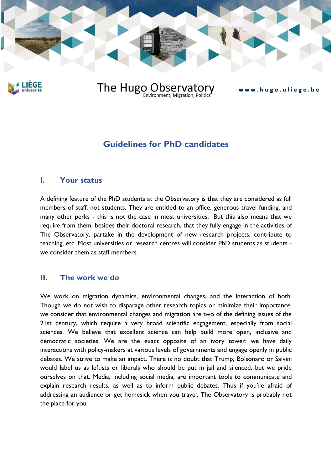

EGE

# The Hugo Observatory

#### www.hugo.uliege.be

## **Guidelines for PhD candidates**

#### **I. Your status**

A defining feature of the PhD students at the Observatory is that they are considered as full members of staff, not students. They are entitled to an office, generous travel funding, and many other perks - this is not the case in most universities. But this also means that we require from them, besides their doctoral research, that they fully engage in the activities of The Observatory, partake in the development of new research projects, contribute to teaching, etc. Most universities or research centres will consider PhD students as students we consider them as staff members.

#### **II. The work we do**

We work on migration dynamics, environmental changes, and the interaction of both. Though we do not wish to disparage other research topics or minimize their importance, we consider that environmental changes and migration are two of the defining issues of the 21st century, which require a very broad scientific engagement, especially from social sciences. We believe that excellent science can help build more open, inclusive and democratic societies. We are the exact opposite of an ivory tower: we have daily interactions with policy-makers at various levels of governments and engage openly in public debates. We strive to make an impact. There is no doubt that Trump, Bolsonaro or Salvini would label us as leftists or liberals who should be put in jail and silenced, but we pride ourselves on that. Media, including social media, are important tools to communicate and explain research results, as well as to inform public debates. Thus if you're afraid of addressing an audience or get homesick when you travel, The Observatory is probably not the place for you.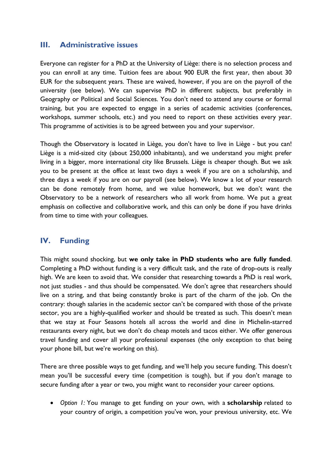#### **III. Administrative issues**

Everyone can register for a PhD at the University of Liège: there is no selection process and you can enroll at any time. Tuition fees are about 900 EUR the first year, then about 30 EUR for the subsequent years. These are waived, however, if you are on the payroll of the university (see below). We can supervise PhD in different subjects, but preferably in Geography or Political and Social Sciences. You don't need to attend any course or formal training, but you are expected to engage in a series of academic activities (conferences, workshops, summer schools, etc.) and you need to report on these activities every year. This programme of activities is to be agreed between you and your supervisor.

Though the Observatory is located in Liège, you don't have to live in Liège - but you can! Liège is a mid-sized city (about 250,000 inhabitants), and we understand you might prefer living in a bigger, more international city like Brussels. Liège is cheaper though. But we ask you to be present at the office at least two days a week if you are on a scholarship, and three days a week if you are on our payroll (see below). We know a lot of your research can be done remotely from home, and we value homework, but we don't want the Observatory to be a network of researchers who all work from home. We put a great emphasis on collective and collaborative work, and this can only be done if you have drinks from time to time with your colleagues.

### **IV. Funding**

This might sound shocking, but **we only take in PhD students who are fully funded**. Completing a PhD without funding is a very difficult task, and the rate of drop-outs is really high. We are keen to avoid that. We consider that researching towards a PhD is real work, not just studies - and thus should be compensated. We don't agree that researchers should live on a string, and that being constantly broke is part of the charm of the job. On the contrary: though salaries in the academic sector can't be compared with those of the private sector, you are a highly-qualified worker and should be treated as such. This doesn't mean that we stay at Four Seasons hotels all across the world and dine in Michelin-starred restaurants every night, but we don't do cheap motels and tacos either. We offer generous travel funding and cover all your professional expenses (the only exception to that being your phone bill, but we're working on this).

There are three possible ways to get funding, and we'll help you secure funding. This doesn't mean you'll be successful every time (competition is tough), but if you don't manage to secure funding after a year or two, you might want to reconsider your career options.

• *Option 1:* You manage to get funding on your own, with a **scholarship** related to your country of origin, a competition you've won, your previous university, etc. We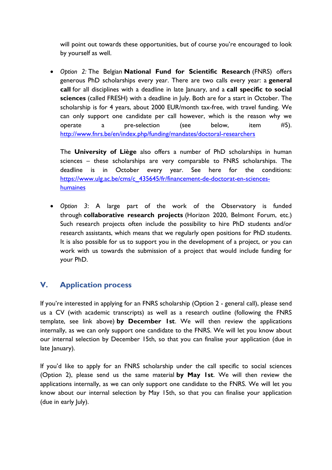will point out towards these opportunities, but of course you're encouraged to look by yourself as well.

• *Option 2:* The Belgian **National Fund for Scientific Research** (FNRS) offers generous PhD scholarships every year. There are two calls every year: a **general call** for all disciplines with a deadline in late January, and a **call specific to social sciences** (called FRESH) with a deadline in July. Both are for a start in October. The scholarship is for 4 years, about 2000 EUR/month tax-free, with travel funding. We can only support one candidate per call however, which is the reason why we operate a pre-selection (see below, item #5). <http://www.fnrs.be/en/index.php/funding/mandates/doctoral-researchers>

The **University of Liège** also offers a number of PhD scholarships in human sciences – these scholarships are very comparable to FNRS scholarships. The deadline is in October every year. See here for the conditions: [https://www.ulg.ac.be/cms/c\\_435645/fr/financement-de-doctorat-en-sciences](https://www.ulg.ac.be/cms/c_435645/fr/financement-de-doctorat-en-sciences-humaines)[humaines](https://www.ulg.ac.be/cms/c_435645/fr/financement-de-doctorat-en-sciences-humaines)

• *Option 3*: A large part of the work of the Observatory is funded through **collaborative research projects** (Horizon 2020, Belmont Forum, etc.) Such research projects often include the possibility to hire PhD students and/or research assistants, which means that we regularly open positions for PhD students. It is also possible for us to support you in the development of a project, or you can work with us towards the submission of a project that would include funding for your PhD.

### **V. Application process**

If you're interested in applying for an FNRS scholarship (Option 2 - general call), please send us a CV (with academic transcripts) as well as a research outline (following the FNRS template, see link above) **by December 1st**. We will then review the applications internally, as we can only support one candidate to the FNRS. We will let you know about our internal selection by December 15th, so that you can finalise your application (due in late January).

If you'd like to apply for an FNRS scholarship under the call specific to social sciences (Option 2), please send us the same material **by May 1st**. We will then review the applications internally, as we can only support one candidate to the FNRS. We will let you know about our internal selection by May 15th, so that you can finalise your application (due in early July).